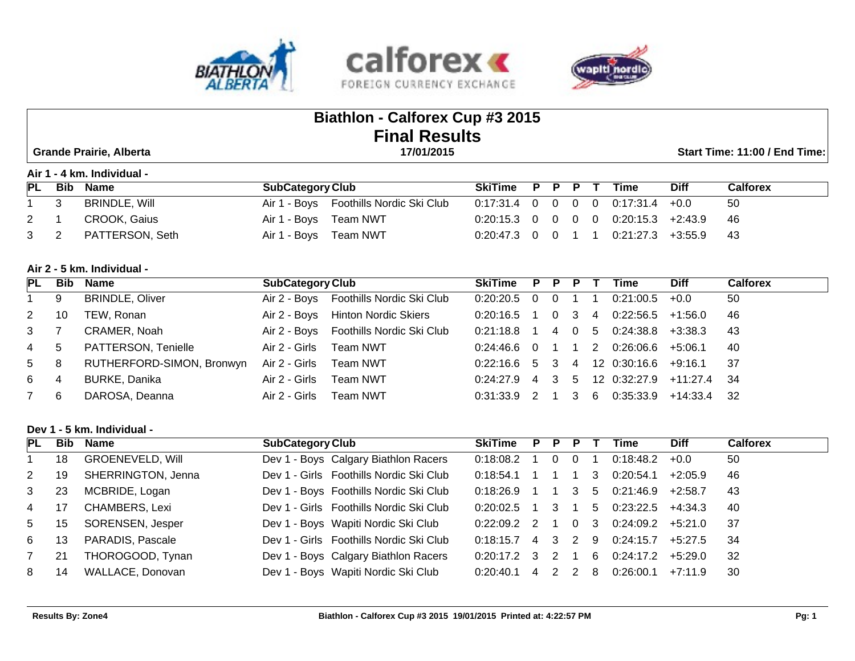



# **Biathlon - Calforex Cup #3 2015 Final Results**

 **Grande Prairie, Alberta 17/01/2015 Start Time: 11:00 / End Time:** 

**Air 1 - 4 km. Individual -** 

| PL           | Bib          | Name                | <b>SubCategory Club</b>                | SkiTime P P P T                            |  |  | Time | <b>Diff</b>                              | Calforex |
|--------------|--------------|---------------------|----------------------------------------|--------------------------------------------|--|--|------|------------------------------------------|----------|
| $\mathbf{1}$ | $\mathbf{3}$ | BRINDLE, Will       | Air 1 - Boys Foothills Nordic Ski Club | $0.17:31.4$ 0 0 0 0 0.17:31.4 +0.0         |  |  |      |                                          | -50      |
| 2 1          |              | CROOK, Gaius        | Air 1 - Boys Team NWT                  | $0:20:15.3$ 0 0 0 0 0 0:20:15.3 +2:43.9 46 |  |  |      |                                          |          |
|              |              | 3 2 PATTERSON, Seth | Air 1 - Boys Team NWT                  |                                            |  |  |      | $0.20:47.3$ 0 0 1 1 0:21:27.3 +3:55.9 43 |          |

# **Air 2 - 5 km. Individual -**

| <b>PL</b>      | Bib | <b>Name</b>               | <b>SubCategory Club</b> |                                        | <b>SkiTime</b> | P P                     |    |                | Time             | <b>Diff</b>   | <b>Calforex</b> |
|----------------|-----|---------------------------|-------------------------|----------------------------------------|----------------|-------------------------|----|----------------|------------------|---------------|-----------------|
|                | 9   | <b>BRINDLE, Oliver</b>    |                         | Air 2 - Boys Foothills Nordic Ski Club | $0.20:20.5$ 0  |                         |    |                | 0:21:00.5        | $+0.0$        | 50              |
| 2              | 10  | TEW, Ronan                |                         | Air 2 - Boys Hinton Nordic Skiers      | $0:20:16.5$ 1  | $\overline{\mathbf{0}}$ | -3 | -4             | 0:22:56.5        | +1:56.0       | 46              |
| $3^{\circ}$    |     | CRAMER, Noah              |                         | Air 2 - Boys Foothills Nordic Ski Club | $0:21:18.8$ 1  | 1405                    |    |                | 0:24:38.8        | +3:38.3       | -43             |
| $\overline{4}$ | 5   | PATTERSON, Tenielle       | Air 2 - Girls           | Team NWT                               | $0.24:46.6$ 0  |                         |    | $\overline{2}$ | 0:26:06.6        | +5:06.1       | -40             |
| 5 8            |     | RUTHERFORD-SIMON, Bronwyn | Air 2 - Girls           | Team NWT                               | $0:22:16.6$ 5  |                         |    |                | 3 4 12 0:30:16.6 | $+9:16.1$ 37  |                 |
| 6 —            | 4   | BURKE, Danika             | Air 2 - Girls           | Team NWT                               | 0:24:27.9 4    | 3 5                     |    |                | 12 0:32:27.9     | $+11:27.4$ 34 |                 |
| 7              | -6  | DAROSA, Deanna            | Air 2 - Girls           | Team NWT                               | 0:31:33.9 2    |                         |    | 36             | 0:35:33.9        | $+14:33.4$ 32 |                 |

#### **Dev 1 - 5 km. Individual -**

| PL | Bib | Name                    | <b>SubCategory Club</b>                 | <b>SkiTime</b> | P. | P  |                |     | Time      | <b>Diff</b> | <b>Calforex</b> |
|----|-----|-------------------------|-----------------------------------------|----------------|----|----|----------------|-----|-----------|-------------|-----------------|
|    | 18  | <b>GROENEVELD, Will</b> | Dev 1 - Boys Calgary Biathlon Racers    | 0:18:08.2      |    |    | $\overline{0}$ |     | 0:18:48.2 | $+0.0$      | 50              |
| 2  | 19  | SHERRINGTON, Jenna      | Dev 1 - Girls Foothills Nordic Ski Club | 0:18:54.1      |    |    |                |     | 0:20:54.1 | $+2:05.9$   | 46              |
| 3  | 23  | MCBRIDE, Logan          | Dev 1 - Boys Foothills Nordic Ski Club  | 0:18:26.9      |    |    | 3              | -5  | 0:21:46.9 | $+2:58.7$   | 43              |
| 4  | 17  | <b>CHAMBERS, Lexi</b>   | Dev 1 - Girls Foothills Nordic Ski Club | 0.20:02.5      |    | 3  |                | 5   | 0:23:22.5 | $+4:34.3$   | 40              |
| 5  | 15  | SORENSEN, Jesper        | Dev 1 - Boys Wapiti Nordic Ski Club     | $0:22:09.2$ 2  |    |    | $\overline{0}$ | - 3 | 0:24:09.2 | +5:21.0     | - 37            |
| -6 | 13  | PARADIS, Pascale        | Dev 1 - Girls Foothills Nordic Ski Club | 0:18:15.7      | 4  | -3 | $\overline{2}$ | -9  | 0:24:15.7 | $+5:27.5$   | -34             |
|    | 21  | THOROGOOD, Tynan        | Dev 1 - Boys Calgary Biathlon Racers    | $0:20:17.2$ 3  |    |    |                | 6   | 0:24:17.2 | +5:29.0     | 32              |
| 8  | 14  | WALLACE, Donovan        | Dev 1 - Boys Wapiti Nordic Ski Club     | 0.20:40.1      | 4  |    | 2              | 8   | 0:26:00.1 | +7:11.9     | 30              |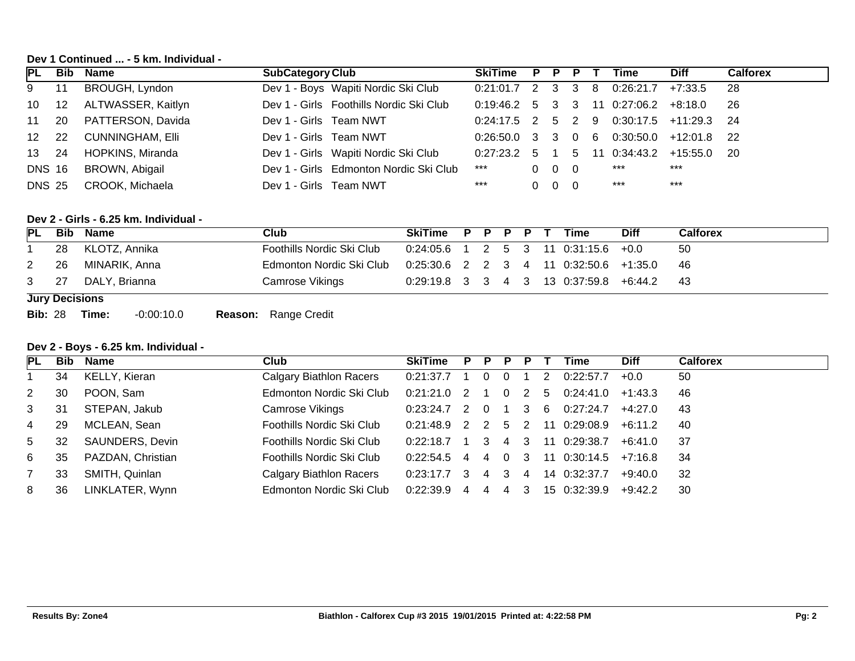# **Dev 1 Continued ... - 5 km. Individual -**

| <b>PL</b>     |     | <b>Bib Name</b>         | <b>SubCategory Club</b>                 | <b>SkiTime</b>      |    | P P               | P. |    | Time                                   | <b>Diff</b> | <b>Calforex</b> |
|---------------|-----|-------------------------|-----------------------------------------|---------------------|----|-------------------|----|----|----------------------------------------|-------------|-----------------|
| 9             | 11  | BROUGH, Lyndon          | Dev 1 - Boys Wapiti Nordic Ski Club     | $0:21:01.7$ 2 3 3 8 |    |                   |    |    | 0:26:21.7                              | +7:33.5     | -28             |
| 10            | 12  | ALTWASSER, Kaitlyn      | Dev 1 - Girls Foothills Nordic Ski Club | $0:19:46.2$ 5 3 3   |    |                   |    |    | 11 0:27:06.2                           | +8:18.0     | -26             |
| 11            | 20  | PATTERSON, Davida       | Dev 1 - Girls Team NWT                  |                     |    |                   |    |    | $0:24:17.5$ 2 5 2 9 0:30:17.5 +11:29.3 |             | - 24            |
| 12            | -22 | <b>CUNNINGHAM, Elli</b> | Dev 1 - Girls Team NWT                  | $0:26:50.0$ 3 3 0 6 |    |                   |    |    | 0:30:50.0                              | +12:01.8    | - 22            |
| 13            | -24 | HOPKINS, Miranda        | Dev 1 - Girls Wapiti Nordic Ski Club    | $0.27:23.2$ 5       |    |                   | -5 | 11 | 0:34:43.2                              | +15:55.0    | - 20            |
| <b>DNS 16</b> |     | BROWN, Abigail          | Dev 1 - Girls Edmonton Nordic Ski Club  | ***                 |    | $0\quad 0\quad 0$ |    |    | ***                                    | $***$       |                 |
| <b>DNS 25</b> |     | CROOK, Michaela         | Dev 1 - Girls Team NWT                  | $***$               | 0. | $0\quad 0$        |    |    | $***$                                  | ***         |                 |

# **Dev 2 - Girls - 6.25 km. Individual -**

| PL | Bib                   | Name               | Club                      | SkiTime P P P P T                          |  |  | Time | <b>Diff</b> | <b>Calforex</b> |
|----|-----------------------|--------------------|---------------------------|--------------------------------------------|--|--|------|-------------|-----------------|
|    |                       | 28 KLOTZ, Annika   | Foothills Nordic Ski Club | $0:24:05.6$ 1 2 5 3 11 0:31:15.6 +0.0      |  |  |      |             | 50              |
| 2  |                       | 26 MINARIK, Anna   | Edmonton Nordic Ski Club  | $0:25:30.6$ 2 2 3 4 11 $0:32:50.6$ +1:35.0 |  |  |      |             | - 46            |
|    |                       | 3 27 DALY, Brianna | Camrose Vikings           | $0:29:19.8$ 3 3 4 3 13 0:37:59.8 +6:44.2   |  |  |      |             | - 43            |
|    | <b>Jury Decisions</b> |                    |                           |                                            |  |  |      |             |                 |

**Bib:** 28 **Time:** -0:00:10.0 **Reason:** Range Credit

# **Dev 2 - Boys - 6.25 km. Individual -**

| PL             |    | <b>Bib Name</b>   | Club                           | SkiTime                         | P P P      |     |     | Time                           | <b>Diff</b> | <b>Calforex</b> |
|----------------|----|-------------------|--------------------------------|---------------------------------|------------|-----|-----|--------------------------------|-------------|-----------------|
|                | 34 | KELLY, Kieran     | Calgary Biathlon Racers        | $0:21:37.7$ 1                   | $0\quad 0$ |     | 2   | 0:22:57.7                      | $+0.0$      | 50              |
| 2              | 30 | POON, Sam         | Edmonton Nordic Ski Club       | $0:21:21.0$ 2 1 0 2             |            |     | - 5 | 0:24:41.0                      | +1:43.3     | 46              |
| 3 <sup>1</sup> | 31 | STEPAN, Jakub     | Camrose Vikings                | $0:23:24.7$ 2 0 1 3 6 0:27:24.7 |            |     |     |                                | +4:27.0     | -43             |
| $\overline{4}$ | 29 | MCLEAN, Sean      | Foothills Nordic Ski Club      |                                 |            |     |     | 0:21:48.9 2 2 5 2 11 0:29:08.9 | +6:11.2     | -40             |
| $5 -$          | 32 | SAUNDERS, Devin   | Foothills Nordic Ski Club      | $0:22:18.7$ 1 3 4 3             |            |     |     | 11 0:29:38.7                   | +6:41.0     | -37             |
| 6              | 35 | PAZDAN, Christian | Foothills Nordic Ski Club      | $0:22:54.5$ 4 4 0 3             |            |     |     | $11 \t0:30:14.5 \t+7:16.8$     |             | -34             |
|                | 33 | SMITH, Quinlan    | <b>Calgary Biathlon Racers</b> | $0:23:17.7$ 3 4 3 4             |            |     |     | 14 0:32:37.7                   | +9:40.0     | -32             |
| 8              | 36 | LINKLATER, Wynn   | Edmonton Nordic Ski Club       | $0:22:39.9$ 4                   | 44         | - 3 |     | 15 0:32:39.9 +9:42.2           |             | 30              |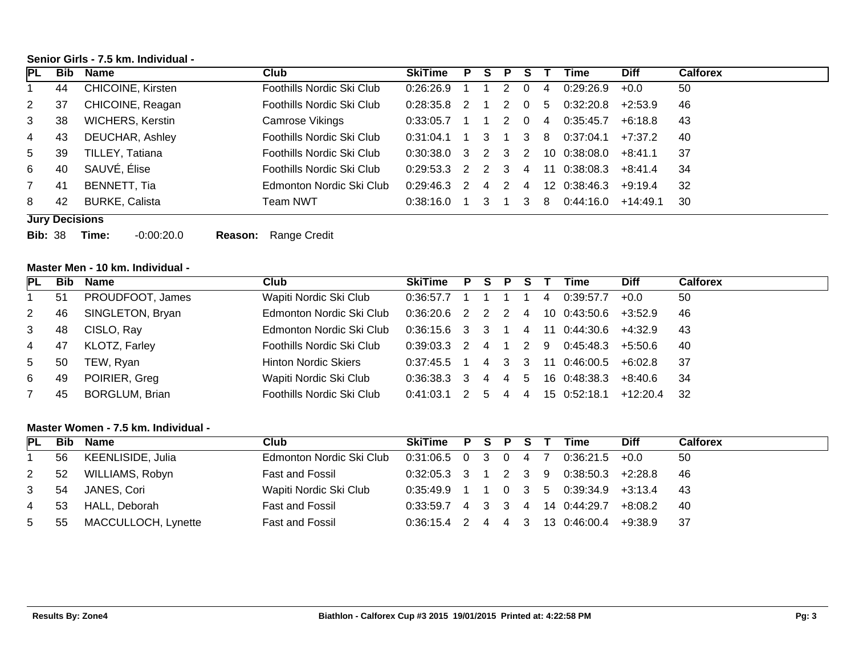# **Senior Girls - 7.5 km. Individual -**

| <b>IPL</b> | <b>Bib</b> | Name                     | Club                      | <b>SkiTime</b>      | P.             | S. | P              |          |     | Time         | <b>Diff</b> | <b>Calforex</b> |
|------------|------------|--------------------------|---------------------------|---------------------|----------------|----|----------------|----------|-----|--------------|-------------|-----------------|
|            | 44         | <b>CHICOINE, Kirsten</b> | Foothills Nordic Ski Club | 0:26:26.9           |                |    |                |          | 4   | 0:29:26.9    | $+0.0$      | 50              |
| 2          | 37         | CHICOINE, Reagan         | Foothills Nordic Ski Club | 0:28:35.8           | $\mathcal{P}$  |    | 2              | <b>O</b> | -5  | 0:32:20.8    | $+2:53.9$   | 46              |
| 3          | 38         | <b>WICHERS, Kerstin</b>  | Camrose Vikings           | 0:33:05.7           |                |    |                | 0        | -4  | 0:35:45.7    | +6:18.8     | 43              |
| 4          | 43         | DEUCHAR, Ashley          | Foothills Nordic Ski Club | 0:31:04.1           |                | 3. |                | 3        | - 8 | 0:37:04.1    | +7:37.2     | 40              |
| 5.         | 39         | TILLEY, Tatiana          | Foothills Nordic Ski Club | $0:30:38.0$ 3 2 3 2 |                |    |                |          |     | 10 0:38:08.0 | $+8.41.1$   | 37              |
| 6          | 40         | SAUVÉ, Élise             | Foothills Nordic Ski Club | 0.29.53.3           | $\mathcal{P}$  |    | 2 3            | $\sim$ 4 | -11 | 0:38:08.3    | $+8.41.4$   | 34              |
|            | -41        | BENNETT, Tia             | Edmonton Nordic Ski Club  | 0:29:46.3           | $\overline{2}$ | 4  | $\overline{2}$ | 4        |     | 12 0:38:46.3 | $+9.19.4$   | 32              |
| 8          | 42         | <b>BURKE, Calista</b>    | Team NWT                  | 0:38:16.0           |                |    |                |          | -8  | 0.44:16.0    | $+14:49.1$  | 30              |

#### **Jury Decisions**

**Bib:** 38 **Time:** -0:00:20.0 **Reason:** Range Credit

# **Master Men - 10 km. Individual -**

| PL             | <b>Bib</b> | Name                  | Club                        | SkiTime P S P         |   |                | -S |    | Time                   | <b>Diff</b> | <b>Calforex</b> |
|----------------|------------|-----------------------|-----------------------------|-----------------------|---|----------------|----|----|------------------------|-------------|-----------------|
|                | 51         | PROUDFOOT, James      | Wapiti Nordic Ski Club      | $0:36:57.7$ 1 1       |   |                |    | -4 | 0:39:57.7              | $+0.0$      | 50              |
| $2^{\circ}$    | 46         | SINGLETON, Bryan      | Edmonton Nordic Ski Club    | $0:36:20.6$ 2 2 2 4   |   |                |    |    | $10$ 0:43:50.6 +3:52.9 |             | 46              |
| 3              | 48         | CISLO, Ray            | Edmonton Nordic Ski Club    | $0:36:15.6$ 3 3 1 4   |   |                |    |    | 11 0:44:30.6           | +4:32.9     | -43             |
| 4              | -47        | KLOTZ, Farley         | Foothills Nordic Ski Club   | $0:39:03.3$ 2 4 1 2 9 |   |                |    |    | $0:45:48.3$ $+5:50.6$  |             | -40             |
| 5 <sup>5</sup> | 50         | TEW, Ryan             | <b>Hinton Nordic Skiers</b> | $0:37:45.5$ 1         |   | 4 3 3          |    |    | 11 0:46:00.5           | +6:02.8     | - 37            |
| 6              | 49         | POIRIER, Greg         | Wapiti Nordic Ski Club      | $0:36:38.3$ 3 4 4     |   |                | 5  |    | 16 0:48:38.3           | +8:40.6     | -34             |
|                | 45         | <b>BORGLUM, Brian</b> | Foothills Nordic Ski Club   | 0:41:03.1 2           | 5 | $\overline{4}$ | 4  |    | 15 0:52:18.1           | +12:20.4 32 |                 |

## **Master Women - 7.5 km. Individual -**

| PL          |     | <b>Bib Name</b>     | Club                                         | SkiTime P S P S T Time |  |  |                                          | <b>Diff</b> | <b>Calforex</b> |
|-------------|-----|---------------------|----------------------------------------------|------------------------|--|--|------------------------------------------|-------------|-----------------|
|             | 56  | KEENLISIDE, Julia   | Edmonton Nordic Ski Club 0:31:06.5 0 3 0 4 7 |                        |  |  | $0:36:21.5$ +0.0                         |             | 50              |
| $2^{\circ}$ | 52  | WILLIAMS, Robyn     | Fast and Fossil                              |                        |  |  | $0:32:05.3$ 3 1 2 3 9 0:38:50.3 +2:28.8  |             | -46             |
| 3           | -54 | JANES, Cori         | Wapiti Nordic Ski Club                       |                        |  |  | $0:35:49.9$ 1 1 0 3 5 0:39:34.9 +3:13.4  |             | - 43            |
| 4           | -53 | HALL, Deborah       | Fast and Fossil                              |                        |  |  | $0.33:59.7$ 4 3 3 4 14 0:44:29.7 +8:08.2 |             | - 40            |
| 5           | 55  | MACCULLOCH, Lynette | Fast and Fossil                              |                        |  |  | $0:36:15.4$ 2 4 4 3 13 0:46:00.4 +9:38.9 |             | 37              |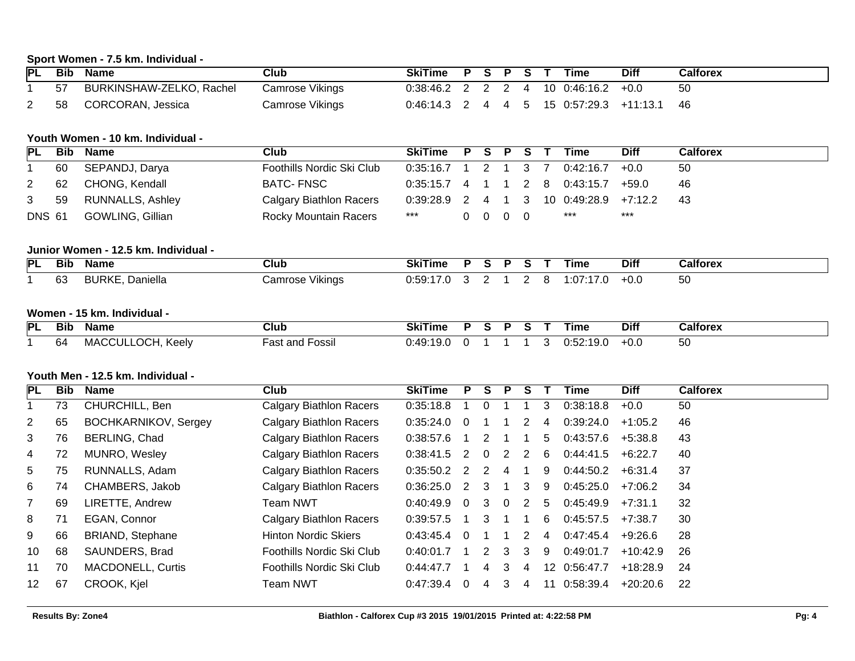# **Sport Women - 7.5 km. Individual -**

| PL | Bib | Name                     | Club            | <b>SkiTime</b>                          | P S P | S. | Time                                      | <b>Diff</b> | Calforex |
|----|-----|--------------------------|-----------------|-----------------------------------------|-------|----|-------------------------------------------|-------------|----------|
|    | 57  | BURKINSHAW-ZELKO, Rachel | Camrose Vikings | $0:38:46.2$ 2 2 2 4 10 $0:46:16.2$ +0.0 |       |    |                                           |             | 50       |
|    | 58  | CORCORAN, Jessica        | Camrose Vikings |                                         |       |    | $0:46:14.3$ 2 4 4 5 15 0:57:29.3 +11:13.1 |             | -46      |

# **Youth Women - 10 km. Individual -**

| <b>PL</b>      | Bib | Name              | Club                           | SkiTime P S P S T     |  |                          |  | <b>Time</b>                                | <b>Diff</b> | <b>Calforex</b> |
|----------------|-----|-------------------|--------------------------------|-----------------------|--|--------------------------|--|--------------------------------------------|-------------|-----------------|
|                | 60  | SEPANDJ, Darya    | Foothills Nordic Ski Club      | $0:35:16.7$ 1 2 1 3 7 |  |                          |  | $0:42:16.7$ +0.0                           |             | 50              |
| $\mathbf{2}$   |     | 62 CHONG, Kendall | BATC- FNSC                     |                       |  |                          |  | $0:35:15.7$ 4 1 1 2 8 0:43:15.7 +59.0      |             | 46              |
| 3 <sup>7</sup> | 59  | RUNNALLS, Ashley  | <b>Calgary Biathlon Racers</b> |                       |  |                          |  | $0.39:28.9$ 2 4 1 3 10 $0.49:28.9$ +7:12.2 |             | -43             |
| <b>DNS 61</b>  |     | GOWLING, Gillian  | <b>Rocky Mountain Racers</b>   | ***                   |  | $0\quad 0\quad 0\quad 0$ |  | ***                                        | ***         |                 |
|                |     |                   |                                |                       |  |                          |  |                                            |             |                 |

# **Junior Women - 12.5 km. Individual -**

| <b>PL</b> | <b>Bib</b> | Name                   | Club            | SkiTime | D |  |      | Time      | <b>Diff</b> | Calforex |
|-----------|------------|------------------------|-----------------|---------|---|--|------|-----------|-------------|----------|
|           | 63         | <b>BURKE, Daniella</b> | Camrose Vikings | 0:59:17 |   |  | - 82 | 1:07:17.0 | $+0.0$      | 50       |

# **Women - 15 km. Individual -**

| PL | --<br>Bit | Name                     | <b>Club</b>                 | ume<br>וחכ |  |  | ⊺ıme                          | ---<br>Diti | ີີາlfore.            |
|----|-----------|--------------------------|-----------------------------|------------|--|--|-------------------------------|-------------|----------------------|
|    | h۷        | $\sim$<br>VIA<br>- NGC 1 | $\sim$ $\sim$<br>ບວວມ<br>aa | <br>мι     |  |  | $\overline{\phantom{a}}$<br>. | TU.U        | $\sim$ $\sim$<br>່ວບ |

# **Youth Men - 12.5 km. Individual -**

| <b>PL</b>       | <b>Bib</b> | Name                        | Club                           | <b>SkiTime</b>  | P   | S.       | P  |   |                 | Time      | <b>Diff</b> | <b>Calforex</b> |
|-----------------|------------|-----------------------------|--------------------------------|-----------------|-----|----------|----|---|-----------------|-----------|-------------|-----------------|
|                 | 73         | CHURCHILL, Ben              | <b>Calgary Biathlon Racers</b> | 0:35:18.8       |     | $\Omega$ |    |   | 3               | 0:38:18.8 | $+0.0$      | 50              |
| $\overline{2}$  | 65         | <b>BOCHKARNIKOV, Sergey</b> | <b>Calgary Biathlon Racers</b> | $0:35:24.0$ 0   |     |          |    |   | 4               | 0:39:24.0 | +1:05.2     | 46              |
| 3               | 76         | BERLING, Chad               | <b>Calgary Biathlon Racers</b> | 0:38:57.6       |     | 2        |    |   | 5               | 0:43:57.6 | +5:38.8     | 43              |
| 4               | 72         | MUNRO, Wesley               | <b>Calgary Biathlon Racers</b> | $0:38:41.5$ 2   |     | $\Omega$ | -2 |   | 6               | 0:44:41.5 | $+6:22.7$   | 40              |
| 5               | 75         | RUNNALLS, Adam              | <b>Calgary Biathlon Racers</b> | $0:35:50.2$ 2   |     | -2       |    |   | 9               | 0:44:50.2 | +6:31.4     | 37              |
| 6               | 74         | CHAMBERS, Jakob             | <b>Calgary Biathlon Racers</b> | $0:36:25.0$ 2 3 |     |          |    | 3 | -9              | 0:45:25.0 | +7:06.2     | 34              |
| 7               | 69         | LIRETTE, Andrew             | Team NWT                       | 0:40:49.9       | - 0 | 3        | 0  | 2 | 5               | 0:45:49.9 | $+7:31.1$   | 32              |
| 8               | 71         | EGAN, Connor                | <b>Calgary Biathlon Racers</b> | 0:39:57.5       |     | 3        |    |   | 6               | 0:45:57.5 | $+7:38.7$   | 30              |
| 9               | 66         | <b>BRIAND, Stephane</b>     | <b>Hinton Nordic Skiers</b>    | 0:43:45.4       | - 0 |          |    |   | 4               | 0:47:45.4 | +9:26.6     | 28              |
| 10              | 68         | SAUNDERS, Brad              | Foothills Nordic Ski Club      | 0:40:01.7       |     |          | 3  | 3 | 9               | 0:49:01.7 | $+10:42.9$  | -26             |
| 11              | 70         | <b>MACDONELL, Curtis</b>    | Foothills Nordic Ski Club      | 0:44:47.7       |     | 4        | 3  | 4 | 12 <sup>°</sup> | 0:56:47.7 | $+18:28.9$  | 24              |
| 12 <sup>°</sup> | 67         | CROOK, Kjel                 | <b>Team NWT</b>                | 0:47:39.4       |     |          | 3  | 4 | 11              | 0:58:39.4 | +20:20.6    | 22              |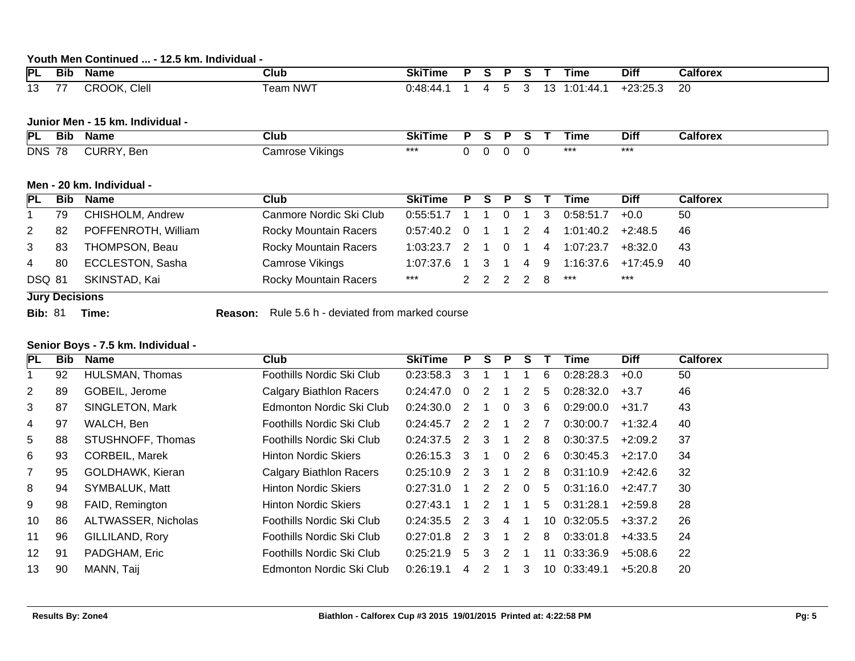# **Youth Men Continued ... - 12.5 km. Individual -**

| <b>PI</b>             | --<br>Bit | Name         | Club                 | ----<br>SkiTime                                  |  |  | __  | ⊺ıme                             | <b>Diff</b>        | Calforex |
|-----------------------|-----------|--------------|----------------------|--------------------------------------------------|--|--|-----|----------------------------------|--------------------|----------|
| $\overline{A}$<br>' ~ |           | Clell<br>OOK | Team NW <sup>-</sup> | יΩ⊿יר.<br>$\prime\prime\prime$<br>, , , , ,<br>. |  |  | . . | $\cdot$ r<br>-44<br>$\cdot$<br>— | 0.25<br>ے.دے-<br>. | ററ<br>۷۷ |

# **Junior Men - 15 km. Individual -**

| PL         | --<br>Bit          | Name      | Club               | SKI<br>ı ıme |  |  | ⊺ıme | <b>Diff</b> | alforex |
|------------|--------------------|-----------|--------------------|--------------|--|--|------|-------------|---------|
| <b>DNS</b> | 70<br>$\mathbf{r}$ | Ber<br>,, | `amros⊾<br>Vikinas | $***$        |  |  |      | ***         |         |

# **Men - 20 km. Individual -**

| <b>PL</b>     |                       | <b>Bib Name</b>         | Club                    | SkiTime P S P S T Time |  |  |  |  |               |                                                   | <b>Diff</b> | <b>Calforex</b> |
|---------------|-----------------------|-------------------------|-------------------------|------------------------|--|--|--|--|---------------|---------------------------------------------------|-------------|-----------------|
| $\mathbf{1}$  | 79                    | CHISHOLM, Andrew        | Canmore Nordic Ski Club | $0.55:51.7$ 1 1 0 1 3  |  |  |  |  |               | 0:58:51.7                                         | $+0.0$      | 50              |
| $\mathbf{2}$  | -82                   | POFFENROTH, William     | Rocky Mountain Racers   | $0.57:40.2$ 0 1 1 2 4  |  |  |  |  |               | $1:01:40.2$ +2:48.5                               |             | -46             |
| $\mathbf{3}$  | 83                    | THOMPSON, Beau          | Rocky Mountain Racers   |                        |  |  |  |  |               | $1:03:23.7$ 2 1 0 1 4 1:07:23.7 +8:32.0           |             | -43             |
| 4             | -80                   | <b>ECCLESTON, Sasha</b> | Camrose Vikings         |                        |  |  |  |  |               | 1:07:37.6  1  3  1  4  9  1:16:37.6  +17:45.9  40 |             |                 |
| <b>DSQ 81</b> |                       | SKINSTAD, Kai           | Rocky Mountain Racers   | $***$                  |  |  |  |  | 2 2 2 2 8 *** |                                                   | ***         |                 |
|               | <b>Jury Decisions</b> |                         |                         |                        |  |  |  |  |               |                                                   |             |                 |

**Bib:** 81 **Time: Reason:** Rule 5.6 h - deviated from marked course

## **Senior Boys - 7.5 km. Individual -**

| <b>PL</b>       | Bib | <b>Name</b>           | Club                           | <b>SkiTime</b> | P                          | S.             | P.             | S. |    | Time         | <b>Diff</b> | <b>Calforex</b> |
|-----------------|-----|-----------------------|--------------------------------|----------------|----------------------------|----------------|----------------|----|----|--------------|-------------|-----------------|
|                 | 92  | HULSMAN, Thomas       | Foothills Nordic Ski Club      | 0:23:58.3      | 3                          |                |                |    | 6  | 0:28:28.3    | $+0.0$      | 50              |
| $\mathbf{2}$    | 89  | GOBEIL, Jerome        | <b>Calgary Biathlon Racers</b> | 0:24:47.0      | $\Omega$                   | 2              |                | 2  | 5  | 0:28:32.0    | $+3.7$      | 46              |
| 3               | 87  | SINGLETON, Mark       | Edmonton Nordic Ski Club       | 0:24:30.0      | 2                          |                | $\Omega$       | 3  | 6  | 0:29:00.0    | $+31.7$     | 43              |
| 4               | 97  | WALCH, Ben            | Foothills Nordic Ski Club      | 0:24:45.7      | $\overline{\phantom{a}}$ 2 | 2              |                | 2  |    | 0:30:00.7    | $+1:32.4$   | 40              |
| 5               | 88  | STUSHNOFF, Thomas     | Foothills Nordic Ski Club      | 0:24:37.5      | 2                          | 3              |                | 2  | 8  | 0:30:37.5    | $+2:09.2$   | 37              |
| 6               | 93  | <b>CORBEIL, Marek</b> | <b>Hinton Nordic Skiers</b>    | 0:26:15.3      | -3                         |                | $\Omega$       | 2  | -6 | 0:30:45.3    | $+2:17.0$   | 34              |
| $\overline{7}$  | 95  | GOLDHAWK, Kieran      | Calgary Biathlon Racers        | 0:25:10.9      | $\overline{2}$             | 3              |                | 2  | 8  | 0:31:10.9    | +2:42.6     | 32              |
| 8               | 94  | SYMBALUK, Matt        | <b>Hinton Nordic Skiers</b>    | 0:27:31.0      |                            | $\overline{2}$ | $\overline{2}$ | 0  | 5  | 0:31:16.0    | $+2:47.7$   | 30              |
| 9               | 98  | FAID, Remington       | <b>Hinton Nordic Skiers</b>    | 0:27:43.1      |                            | $\mathcal{P}$  |                |    | 5  | 0:31:28.1    | $+2:59.8$   | 28              |
| 10              | 86  | ALTWASSER, Nicholas   | Foothills Nordic Ski Club      | 0:24:35.5      | $\overline{2}$             | 3              | 4              |    |    | 10 0:32:05.5 | $+3:37.2$   | 26              |
| 11              | 96  | GILLILAND, Rory       | Foothills Nordic Ski Club      | 0:27:01.8      | 2                          | 3              |                | 2  | 8  | 0:33:01.8    | $+4:33.5$   | 24              |
| 12 <sup>°</sup> | 91  | PADGHAM, Eric         | Foothills Nordic Ski Club      | 0:25:21.9      | 5                          | 3              | $\mathcal{P}$  |    | 11 | 0:33:36.9    | $+5:08.6$   | 22              |
| 13              | 90  | MANN, Taij            | Edmonton Nordic Ski Club       | 0:26:19.1      | 4                          | 2              |                | 3  |    | 10 0:33:49.1 | $+5:20.8$   | 20              |